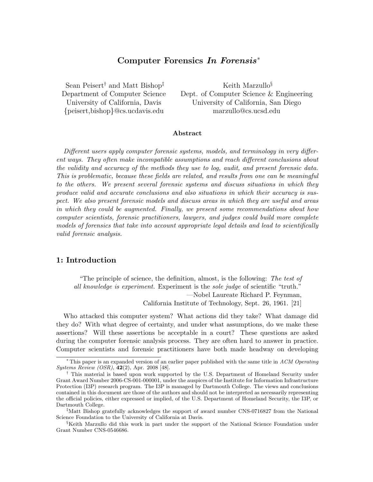# Computer Forensics In Forensis<sup>∗</sup>

Sean Peisert<sup>†</sup> and Matt Bishop<sup>‡</sup> Department of Computer Science University of California, Davis {peisert,bishop}@cs.ucdavis.edu

Keith Marzullo§ Dept. of Computer Science & Engineering University of California, San Diego marzullo@cs.ucsd.edu

#### Abstract

Different users apply computer forensic systems, models, and terminology in very different ways. They often make incompatible assumptions and reach different conclusions about the validity and accuracy of the methods they use to log, audit, and present forensic data. This is problematic, because these fields are related, and results from one can be meaningful to the others. We present several forensic systems and discuss situations in which they produce valid and accurate conclusions and also situations in which their accuracy is suspect. We also present forensic models and discuss areas in which they are useful and areas in which they could be augmented. Finally, we present some recommendations about how computer scientists, forensic practitioners, lawyers, and judges could build more complete models of forensics that take into account appropriate legal details and lead to scientifically valid forensic analysis.

### 1: Introduction

"The principle of science, the definition, almost, is the following: The test of all knowledge is experiment. Experiment is the sole judge of scientific "truth." —Nobel Laureate Richard P. Feynman, California Institute of Technology, Sept. 26, 1961. [21]

Who attacked this computer system? What actions did they take? What damage did they do? With what degree of certainty, and under what assumptions, do we make these assertions? Will these assertions be acceptable in a court? These questions are asked during the computer forensic analysis process. They are often hard to answer in practice. Computer scientists and forensic practitioners have both made headway on developing

 $*$  This paper is an expanded version of an earlier paper published with the same title in ACM Operating Systems Review (OSR), 42(2), Apr. 2008 [48].

<sup>†</sup> This material is based upon work supported by the U.S. Department of Homeland Security under Grant Award Number 2006-CS-001-000001, under the auspices of the Institute for Information Infrastructure Protection (I3P) research program. The I3P is managed by Dartmouth College. The views and conclusions contained in this document are those of the authors and should not be interpreted as necessarily representing the official policies, either expressed or implied, of the U.S. Department of Homeland Security, the I3P, or Dartmouth College.

<sup>‡</sup>Matt Bishop gratefully acknowledges the support of award number CNS-0716827 from the National Science Foundation to the University of California at Davis.

<sup>&</sup>lt;sup>§</sup>Keith Marzullo did this work in part under the support of the National Science Foundation under Grant Number CNS-0546686.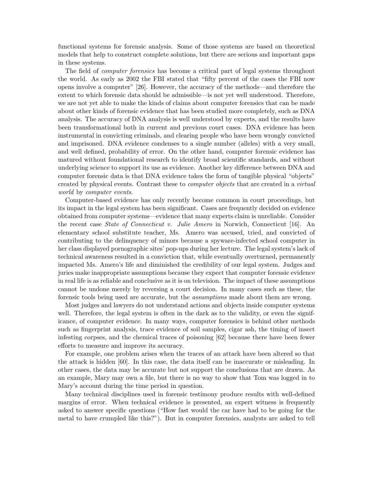functional systems for forensic analysis. Some of those systems are based on theoretical models that help to construct complete solutions, but there are serious and important gaps in these systems.

The field of *computer forensics* has become a critical part of legal systems throughout the world. As early as 2002 the FBI stated that "fifty percent of the cases the FBI now opens involve a computer" [26]. However, the accuracy of the methods—and therefore the extent to which forensic data should be admissible—is not yet well understood. Therefore, we are not yet able to make the kinds of claims about computer forensics that can be made about other kinds of forensic evidence that has been studied more completely, such as DNA analysis. The accuracy of DNA analysis is well understood by experts, and the results have been transformational both in current and previous court cases. DNA evidence has been instrumental in convicting criminals, and clearing people who have been wrongly convicted and imprisoned. DNA evidence condenses to a single number (alleles) with a very small, and well defined, probability of error. On the other hand, computer forensic evidence has matured without foundational research to identify broad scientific standards, and without underlying science to support its use as evidence. Another key difference between DNA and computer forensic data is that DNA evidence takes the form of tangible physical "objects" created by physical events. Contrast these to computer objects that are created in a virtual world by computer events.

Computer-based evidence has only recently become common in court proceedings, but its impact in the legal system has been significant. Cases are frequently decided on evidence obtained from computer systems—evidence that many experts claim is unreliable. Consider the recent case *State of Connecticut v. Julie Amero* in Norwich, Connecticut [16]. An elementary school substitute teacher, Ms. Amero was accused, tried, and convicted of contributing to the delinquency of minors because a spyware-infected school computer in her class displayed pornographic sites' pop-ups during her lecture. The legal system's lack of technical awareness resulted in a conviction that, while eventually overturned, permanently impacted Ms. Amero's life and diminished the credibility of our legal system. Judges and juries make inappropriate assumptions because they expect that computer forensic evidence in real life is as reliable and conclusive as it is on television. The impact of these assumptions cannot be undone merely by reversing a court decision. In many cases such as these, the forensic tools being used are accurate, but the *assumptions* made about them are wrong.

Most judges and lawyers do not understand actions and objects inside computer systems well. Therefore, the legal system is often in the dark as to the validity, or even the significance, of computer evidence. In many ways, computer forensics is behind other methods such as fingerprint analysis, trace evidence of soil samples, cigar ash, the timing of insect infesting corpses, and the chemical traces of poisoning [62] because there have been fewer efforts to measure and improve its accuracy.

For example, one problem arises when the traces of an attack have been altered so that the attack is hidden [60]. In this case, the data itself can be inaccurate or misleading. In other cases, the data may be accurate but not support the conclusions that are drawn. As an example, Mary may own a file, but there is no way to show that Tom was logged in to Mary's account during the time period in question.

Many technical disciplines used in forensic testimony produce results with well-defined margins of error. When technical evidence is presented, an expert witness is frequently asked to answer specific questions ("How fast would the car have had to be going for the metal to have crumpled like this?"). But in computer forensics, analysts are asked to tell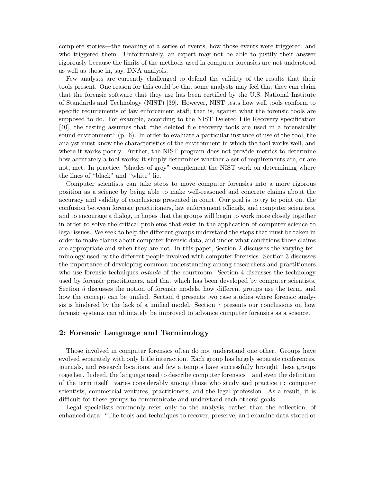complete stories—the meaning of a series of events, how those events were triggered, and who triggered them. Unfortunately, an expert may not be able to justify their answer rigorously because the limits of the methods used in computer forensics are not understood as well as those in, say, DNA analysis.

Few analysts are currently challenged to defend the validity of the results that their tools present. One reason for this could be that some analysts may feel that they can claim that the forensic software that they use has been certified by the U.S. National Institute of Standards and Technology (NIST) [39]. However, NIST tests how well tools conform to specific requirements of law enforcement staff; that is, against what the forensic tools are supposed to do. For example, according to the NIST Deleted File Recovery specification [40], the testing assumes that "the deleted file recovery tools are used in a forensically sound environment" (p. 6). In order to evaluate a particular instance of use of the tool, the analyst must know the characteristics of the environment in which the tool works well, and where it works poorly. Further, the NIST program does not provide metrics to determine how accurately a tool works; it simply determines whether a set of requirements are, or are not, met. In practice, "shades of grey" complement the NIST work on determining where the lines of "black" and "white" lie.

Computer scientists can take steps to move computer forensics into a more rigorous position as a science by being able to make well-reasoned and concrete claims about the accuracy and validity of conclusions presented in court. Our goal is to try to point out the confusion between forensic practitioners, law enforcement officials, and computer scientists, and to encourage a dialog, in hopes that the groups will begin to work more closely together in order to solve the critical problems that exist in the application of computer science to legal issues. We seek to help the different groups understand the steps that must be taken in order to make claims about computer forensic data, and under what conditions those claims are appropriate and when they are not. In this paper, Section 2 discusses the varying terminology used by the different people involved with computer forensics. Section 3 discusses the importance of developing common understanding among researchers and practitioners who use forensic techniques *outside* of the courtroom. Section 4 discusses the technology used by forensic practitioners, and that which has been developed by computer scientists. Section 5 discusses the notion of forensic models, how different groups use the term, and how the concept can be unified. Section 6 presents two case studies where forensic analysis is hindered by the lack of a unified model. Section 7 presents our conclusions on how forensic systems can ultimately be improved to advance computer forensics as a science.

### 2: Forensic Language and Terminology

Those involved in computer forensics often do not understand one other. Groups have evolved separately with only little interaction. Each group has largely separate conferences, journals, and research locations, and few attempts have successfully brought these groups together. Indeed, the language used to describe computer forensics—and even the definition of the term itself—varies considerably among those who study and practice it: computer scientists, commercial ventures, practitioners, and the legal profession. As a result, it is difficult for these groups to communicate and understand each others' goals.

Legal specialists commonly refer only to the analysis, rather than the collection, of enhanced data: "The tools and techniques to recover, preserve, and examine data stored or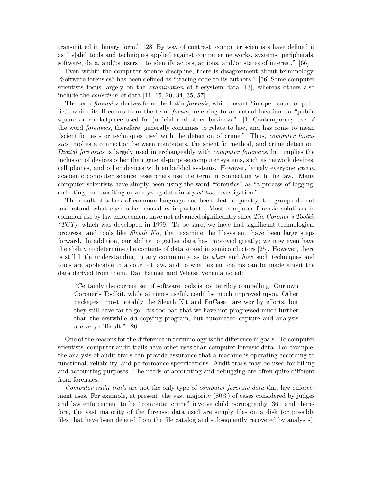transmitted in binary form." [28] By way of contrast, computer scientists have defined it as "[v]alid tools and techniques applied against computer networks, systems, peripherals, software, data, and/or users – to identify actors, actions, and/or states of interest."  $[66]$ 

Even within the computer science discipline, there is disagreement about terminology. "Software forensics" has been defined as "tracing code to its authors." [56] Some computer scientists focus largely on the *examination* of filesystem data [13], whereas others also include the collection of data [11, 15, 20, 34, 35, 57].

The term forensics derives from the Latin forensis, which meant "in open court or public," which itself comes from the term forum, referring to an actual location—a "public square or marketplace used for judicial and other business." [1] Contemporary use of the word *forensics*, therefore, generally continues to relate to law, and has come to mean "scientific tests or techniques used with the detection of crime." Thus, computer forensics implies a connection between computers, the scientific method, and crime detection. Digital forensics is largely used interchangeably with *computer forensics*, but implies the inclusion of devices other than general-purpose computer systems, such as network devices, cell phones, and other devices with embedded systems. However, largely everyone except academic computer science researchers use the term in connection with the law. Many computer scientists have simply been using the word "forensics" as "a process of logging, collecting, and auditing or analyzing data in a post hoc investigation."

The result of a lack of common language has been that frequently, the groups do not understand what each other considers important. Most computer forensic solutions in common use by law enforcement have not advanced significantly since The Coroner's Toolkit  $(TCT)$ , which was developed in 1999. To be sure, we have had significant technological progress, and tools like Sleuth Kit, that examine the filesystem, have been large steps forward. In addition, our ability to gather data has improved greatly; we now even have the ability to determine the contents of data stored in semiconductors [25]. However, there is still little understanding in any community as to when and how such techniques and tools are applicable in a court of law, and to what extent claims can be made about the data derived from them. Dan Farmer and Wietse Venema noted:

"Certainly the current set of software tools is not terribly compelling. Our own Coroner's Toolkit, while at times useful, could be much improved upon. Other packages—most notably the Sleuth Kit and EnCase—are worthy efforts, but they still have far to go. It's too bad that we have not progressed much further than the erstwhile dd copying program, but automated capture and analysis are very difficult." [20]

One of the reasons for the difference in terminology is the difference in goals. To computer scientists, computer audit trails have other uses than computer forensic data. For example, the analysis of audit trails can provide assurance that a machine is operating according to functional, reliability, and performance specifications. Audit trails may be used for billing and accounting purposes. The needs of accounting and debugging are often quite different from forensics.

Computer audit trails are not the only type of *computer forensic data* that law enforcement uses. For example, at present, the vast majority (80%) of cases considered by judges and law enforcement to be "computer crime" involve child pornography [36], and therefore, the vast majority of the forensic data used are simply files on a disk (or possibly files that have been deleted from the file catalog and subsequently recovered by analysts).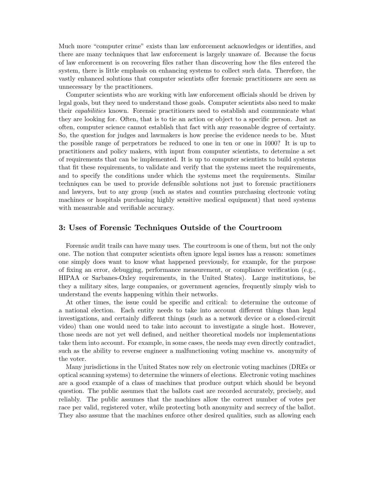Much more "computer crime" exists than law enforcement acknowledges or identifies, and there are many techniques that law enforcement is largely unaware of. Because the focus of law enforcement is on recovering files rather than discovering how the files entered the system, there is little emphasis on enhancing systems to collect such data. Therefore, the vastly enhanced solutions that computer scientists offer forensic practitioners are seen as unnecessary by the practitioners.

Computer scientists who are working with law enforcement officials should be driven by legal goals, but they need to understand those goals. Computer scientists also need to make their capabilities known. Forensic practitioners need to establish and communicate what they are looking for. Often, that is to tie an action or object to a specific person. Just as often, computer science cannot establish that fact with any reasonable degree of certainty. So, the question for judges and lawmakers is how precise the evidence needs to be. Must the possible range of perpetrators be reduced to one in ten or one in 1000? It is up to practitioners and policy makers, with input from computer scientists, to determine a set of requirements that can be implemented. It is up to computer scientists to build systems that fit these requirements, to validate and verify that the systems meet the requirements, and to specify the conditions under which the systems meet the requirements. Similar techniques can be used to provide defensible solutions not just to forensic practitioners and lawyers, but to any group (such as states and counties purchasing electronic voting machines or hospitals purchasing highly sensitive medical equipment) that need systems with measurable and verifiable accuracy.

## 3: Uses of Forensic Techniques Outside of the Courtroom

Forensic audit trails can have many uses. The courtroom is one of them, but not the only one. The notion that computer scientists often ignore legal issues has a reason: sometimes one simply does want to know what happened previously, for example, for the purpose of fixing an error, debugging, performance measurement, or compliance verification (e.g., HIPAA or Sarbanes-Oxley requirements, in the United States). Large institutions, be they a military sites, large companies, or government agencies, frequently simply wish to understand the events happening within their networks.

At other times, the issue could be specific and critical: to determine the outcome of a national election. Each entity needs to take into account different things than legal investigations, and certainly different things (such as a network device or a closed-circuit video) than one would need to take into account to investigate a single host. However, those needs are not yet well defined, and neither theoretical models nor implementations take them into account. For example, in some cases, the needs may even directly contradict, such as the ability to reverse engineer a malfunctioning voting machine vs. anonymity of the voter.

Many jurisdictions in the United States now rely on electronic voting machines (DREs or optical scanning systems) to determine the winners of elections. Electronic voting machines are a good example of a class of machines that produce output which should be beyond question. The public assumes that the ballots cast are recorded accurately, precisely, and reliably. The public assumes that the machines allow the correct number of votes per race per valid, registered voter, while protecting both anonymity and secrecy of the ballot. They also assume that the machines enforce other desired qualities, such as allowing each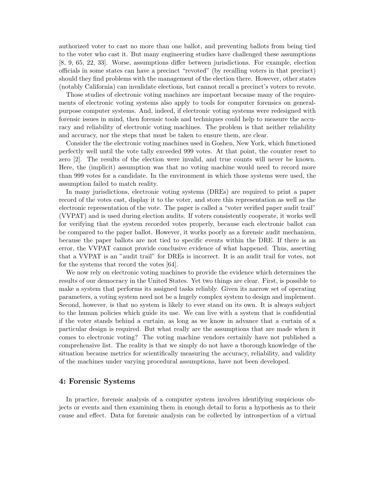authorized voter to cast no more than one ballot, and preventing ballots from being tied to the voter who cast it. But many engineering studies have challenged these assumptions [8, 9, 65, 22, 33]. Worse, assumptions differ between jurisdictions. For example, election officials in some states can have a precinct "revoted" (by recalling voters in that precinct) should they find problems with the management of the election there. However, other states (notably California) can invalidate elections, but cannot recall a precinct's voters to revote.

Those studies of electronic voting machines are important because many of the requirements of electronic voting systems also apply to tools for computer forensics on generalpurpose computer systems. And, indeed, if electronic voting systems were redesigned with forensic issues in mind, then forensic tools and techniques could help to measure the accuracy and reliability of electronic voting machines. The problem is that neither reliability and accuracy, nor the steps that must be taken to ensure them, are clear.

Consider the the electronic voting machines used in Goshen, New York, which functioned perfectly well until the vote tally exceeded 999 votes. At that point, the counter reset to zero [2]. The results of the election were invalid, and true counts will never be known. Here, the (implicit) assumption was that no voting machine would need to record more than 999 votes for a candidate. In the environment in which those systems were used, the assumption failed to match reality.

In many jurisdictions, electronic voting systems (DREs) are required to print a paper record of the votes cast, display it to the voter, and store this representation as well as the electronic representation of the vote. The paper is called a "voter verified paper audit trail" (VVPAT) and is used during election audits. If voters consistently cooperate, it works well for verifying that the system recorded votes properly, because each electronic ballot can be compared to the paper ballot. However, it works poorly as a forensic audit mechanism, because the paper ballots are not tied to specific events within the DRE. If there is an error, the VVPAT cannot provide conclusive evidence of what happened. Thus, asserting that a VVPAT is an "audit trail" for DREs is incorrect. It is an audit trail for votes, not for the systems that record the votes [64].

We now rely on electronic voting machines to provide the evidence which determines the results of our democracy in the United States. Yet two things are clear. First, is possible to make a system that performs its assigned tasks reliably. Given its narrow set of operating parameters, a voting system need not be a hugely complex system to design and implement. Second, however, is that no system is likely to ever stand on its own. It is always subject to the human policies which guide its use. We can live with a system that is confidential if the voter stands behind a curtain, as long as we know in advance that a curtain of a particular design is required. But what really are the assumptions that are made when it comes to electronic voting? The voting machine vendors certainly have not published a comprehensive list. The reality is that we simply do not have a thorough knowledge of the situation because metrics for scientifically measuring the accuracy, reliability, and validity of the machines under varying procedural assumptions, have not been developed.

## 4: Forensic Systems

In practice, forensic analysis of a computer system involves identifying suspicious objects or events and then examining them in enough detail to form a hypothesis as to their cause and effect. Data for forensic analysis can be collected by introspection of a virtual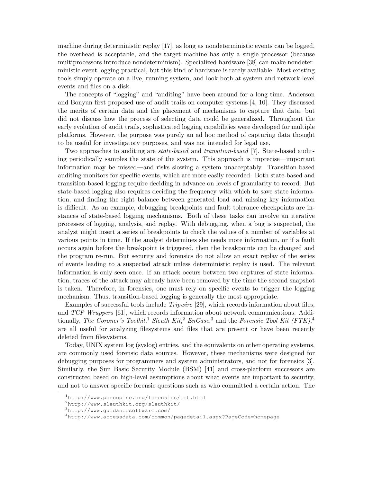machine during deterministic replay [17], as long as nondeterministic events can be logged, the overhead is acceptable, and the target machine has only a single processor (because multiprocessors introduce nondeterminism). Specialized hardware [38] can make nondeterministic event logging practical, but this kind of hardware is rarely available. Most existing tools simply operate on a live, running system, and look both at system and network-level events and files on a disk.

The concepts of "logging" and "auditing" have been around for a long time. Anderson and Bonyun first proposed use of audit trails on computer systems [4, 10]. They discussed the merits of certain data and the placement of mechanisms to capture that data, but did not discuss how the process of selecting data could be generalized. Throughout the early evolution of audit trails, sophisticated logging capabilities were developed for multiple platforms. However, the purpose was purely an ad hoc method of capturing data thought to be useful for investigatory purposes, and was not intended for legal use.

Two approaches to auditing are *state-based* and *transition-based* [7]. State-based auditing periodically samples the state of the system. This approach is imprecise—important information may be missed—and risks slowing a system unacceptably. Transition-based auditing monitors for specific events, which are more easily recorded. Both state-based and transition-based logging require deciding in advance on levels of granularity to record. But state-based logging also requires deciding the frequency with which to save state information, and finding the right balance between generated load and missing key information is difficult. As an example, debugging breakpoints and fault tolerance checkpoints are instances of state-based logging mechanisms. Both of these tasks can involve an iterative processes of logging, analysis, and replay. With debugging, when a bug is suspected, the analyst might insert a series of breakpoints to check the values of a number of variables at various points in time. If the analyst determines she needs more information, or if a fault occurs again before the breakpoint is triggered, then the breakpoints can be changed and the program re-run. But security and forensics do not allow an exact replay of the series of events leading to a suspected attack unless deterministic replay is used. The relevant information is only seen once. If an attack occurs between two captures of state information, traces of the attack may already have been removed by the time the second snapshot is taken. Therefore, in forensics, one must rely on specific events to trigger the logging mechanism. Thus, transition-based logging is generally the most appropriate.

Examples of successful tools include Tripwire [29], which records information about files, and TCP Wrappers [61], which records information about network communications. Additionally, The Coroner's Toolkit,<sup>1</sup> Sleuth Kit,<sup>2</sup> EnCase,<sup>3</sup> and the Forensic Tool Kit (FTK),<sup>4</sup> are all useful for analyzing filesystems and files that are present or have been recently deleted from filesystems.

Today, UNIX system log (syslog) entries, and the equivalents on other operating systems, are commonly used forensic data sources. However, these mechanisms were designed for debugging purposes for programmers and system administrators, and not for forensics [3]. Similarly, the Sun Basic Security Module (BSM) [41] and cross-platform successors are constructed based on high-level assumptions about what events are important to security, and not to answer specific forensic questions such as who committed a certain action. The

<sup>1</sup>http://www.porcupine.org/forensics/tct.html

<sup>2</sup>http://www.sleuthkit.org/sleuthkit/

<sup>3</sup>http://www.guidancesoftware.com/

<sup>4</sup>http://www.accessdata.com/common/pagedetail.aspx?PageCode=homepage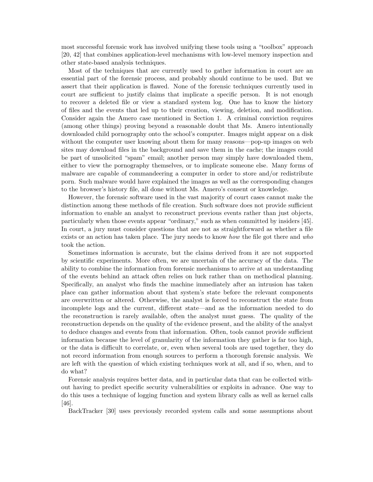most successful forensic work has involved unifying these tools using a "toolbox" approach [20, 42] that combines application-level mechanisms with low-level memory inspection and other state-based analysis techniques.

Most of the techniques that are currently used to gather information in court are an essential part of the forensic process, and probably should continue to be used. But we assert that their application is flawed. None of the forensic techniques currently used in court are sufficient to justify claims that implicate a specific person. It is not enough to recover a deleted file or view a standard system log. One has to know the history of files and the events that led up to their creation, viewing, deletion, and modification. Consider again the Amero case mentioned in Section 1. A criminal conviction requires (among other things) proving beyond a reasonable doubt that Ms. Amero intentionally downloaded child pornography onto the school's computer. Images might appear on a disk without the computer user knowing about them for many reasons—pop-up images on web sites may download files in the background and save them in the cache; the images could be part of unsolicited "spam" email; another person may simply have downloaded them, either to view the pornography themselves, or to implicate someone else. Many forms of malware are capable of commandeering a computer in order to store and/or redistribute porn. Such malware would have explained the images as well as the corresponding changes to the browser's history file, all done without Ms. Amero's consent or knowledge.

However, the forensic software used in the vast majority of court cases cannot make the distinction among these methods of file creation. Such software does not provide sufficient information to enable an analyst to reconstruct previous events rather than just objects, particularly when those events appear "ordinary," such as when committed by insiders [45]. In court, a jury must consider questions that are not as straightforward as whether a file exists or an action has taken place. The jury needs to know how the file got there and who took the action.

Sometimes information is accurate, but the claims derived from it are not supported by scientific experiments. More often, we are uncertain of the accuracy of the data. The ability to combine the information from forensic mechanisms to arrive at an understanding of the events behind an attack often relies on luck rather than on methodical planning. Specifically, an analyst who finds the machine immediately after an intrusion has taken place can gather information about that system's state before the relevant components are overwritten or altered. Otherwise, the analyst is forced to reconstruct the state from incomplete logs and the current, different state—and as the information needed to do the reconstruction is rarely available, often the analyst must guess. The quality of the reconstruction depends on the quality of the evidence present, and the ability of the analyst to deduce changes and events from that information. Often, tools cannot provide sufficient information because the level of granularity of the information they gather is far too high, or the data is difficult to correlate, or, even when several tools are used together, they do not record information from enough sources to perform a thorough forensic analysis. We are left with the question of which existing techniques work at all, and if so, when, and to do what?

Forensic analysis requires better data, and in particular data that can be collected without having to predict specific security vulnerabilities or exploits in advance. One way to do this uses a technique of logging function and system library calls as well as kernel calls [46].

BackTracker [30] uses previously recorded system calls and some assumptions about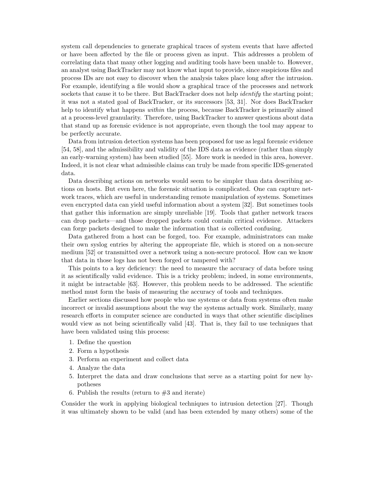system call dependencies to generate graphical traces of system events that have affected or have been affected by the file or process given as input. This addresses a problem of correlating data that many other logging and auditing tools have been unable to. However, an analyst using BackTracker may not know what input to provide, since suspicious files and process IDs are not easy to discover when the analysis takes place long after the intrusion. For example, identifying a file would show a graphical trace of the processes and network sockets that cause it to be there. But BackTracker does not help *identify* the starting point; it was not a stated goal of BackTracker, or its successors [53, 31]. Nor does BackTracker help to identify what happens *within* the process, because BackTracker is primarily aimed at a process-level granularity. Therefore, using BackTracker to answer questions about data that stand up as forensic evidence is not appropriate, even though the tool may appear to be perfectly accurate.

Data from intrusion detection systems has been proposed for use as legal forensic evidence [54, 58], and the admissibility and validity of the IDS data as evidence (rather than simply an early-warning system) has been studied [55]. More work is needed in this area, however. Indeed, it is not clear what admissible claims can truly be made from specific IDS-generated data.

Data describing actions on networks would seem to be simpler than data describing actions on hosts. But even here, the forensic situation is complicated. One can capture network traces, which are useful in understanding remote manipulation of systems. Sometimes even encrypted data can yield useful information about a system [32]. But sometimes tools that gather this information are simply unreliable [19]. Tools that gather network traces can drop packets—and those dropped packets could contain critical evidence. Attackers can forge packets designed to make the information that is collected confusing.

Data gathered from a host can be forged, too. For example, administrators can make their own syslog entries by altering the appropriate file, which is stored on a non-secure medium [52] or transmitted over a network using a non-secure protocol. How can we know that data in those logs has not been forged or tampered with?

This points to a key deficiency: the need to measure the accuracy of data before using it as scientifically valid evidence. This is a tricky problem; indeed, in some environments, it might be intractable [63]. However, this problem needs to be addressed. The scientific method must form the basis of measuring the accuracy of tools and techniques.

Earlier sections discussed how people who use systems or data from systems often make incorrect or invalid assumptions about the way the systems actually work. Similarly, many research efforts in computer science are conducted in ways that other scientific disciplines would view as not being scientifically valid [43]. That is, they fail to use techniques that have been validated using this process:

- 1. Define the question
- 2. Form a hypothesis
- 3. Perform an experiment and collect data
- 4. Analyze the data
- 5. Interpret the data and draw conclusions that serve as a starting point for new hypotheses
- 6. Publish the results (return to  $#3$  and iterate)

Consider the work in applying biological techniques to intrusion detection [27]. Though it was ultimately shown to be valid (and has been extended by many others) some of the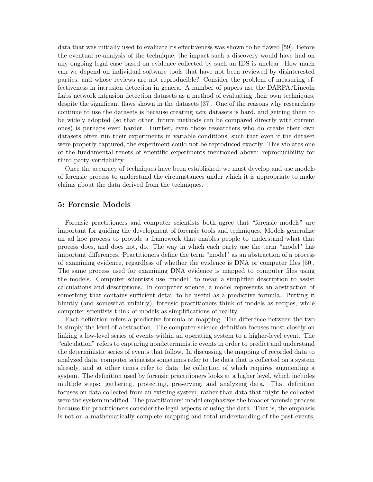data that was initially used to evaluate its effectiveness was shown to be flawed [59]. Before the eventual re-analysis of the technique, the impact such a discovery would have had on any ongoing legal case based on evidence collected by such an IDS is unclear. How much can we depend on individual software tools that have not been reviewed by disinterested parties, and whose reviews are not reproducible? Consider the problem of measuring effectiveness in intrusion detection in genera. A number of papers use the DARPA/Lincoln Labs network intrusion detection datasets as a method of evaluating their own techniques, despite the significant flaws shown in the datasets [37]. One of the reasons why researchers continue to use the datasets is because creating new datasets is hard, and getting them to be widely adopted (so that other, future methods can be compared directly with current ones) is perhaps even harder. Further, even those researchers who do create their own datasets often run their experiments in variable conditions, such that even if the dataset were properly captured, the experiment could not be reproduced exactly. This violates one of the fundamental tenets of scientific experiments mentioned above: reproducibility for third-party verifiability.

Once the accuracy of techniques have been established, we must develop and use models of forensic process to understand the circumstances under which it is appropriate to make claims about the data derived from the techniques.

### 5: Forensic Models

Forensic practitioners and computer scientists both agree that "forensic models" are important for guiding the development of forensic tools and techniques. Models generalize an ad hoc process to provide a framework that enables people to understand what that process does, and does not, do. The way in which each party use the term "model" has important differences. Practitioners define the term "model" as an abstraction of a process of examining evidence, regardless of whether the evidence is DNA or computer files [50]. The same process used for examining DNA evidence is mapped to computer files using the models. Computer scientists use "model" to mean a simplified description to assist calculations and descriptions. In computer science, a model represents an abstraction of something that contains sufficient detail to be useful as a predictive formula. Putting it bluntly (and somewhat unfairly), forensic practitioners think of models as recipes, while computer scientists think of models as simplifications of reality.

Each definition refers a predictive formula or mapping. The difference between the two is simply the level of abstraction. The computer science definition focuses most closely on linking a low-level series of events within an operating system to a higher-level event. The "calculation" refers to capturing nondeterministic events in order to predict and understand the deterministic series of events that follow. In discussing the mapping of recorded data to analyzed data, computer scientists sometimes refer to the data that is collected on a system already, and at other times refer to data the collection of which requires augmenting a system. The definition used by forensic practitioners looks at a higher level, which includes multiple steps: gathering, protecting, preserving, and analyzing data. That definition focuses on data collected from an existing system, rather than data that might be collected were the system modified. The practitioners' model emphasizes the broader forensic process because the practitioners consider the legal aspects of using the data. That is, the emphasis is not on a mathematically complete mapping and total understanding of the past events,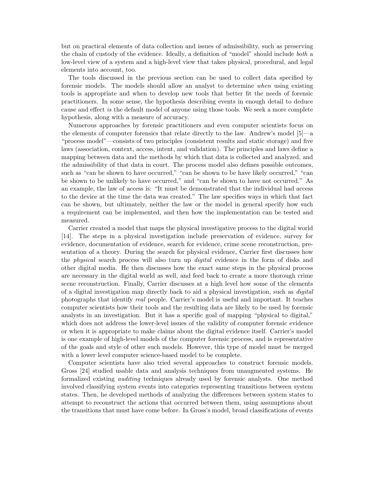but on practical elements of data collection and issues of admissibility, such as preserving the chain of custody of the evidence. Ideally, a definition of "model" should include both a low-level view of a system and a high-level view that takes physical, procedural, and legal elements into account, too.

The tools discussed in the previous section can be used to collect data specified by forensic models. The models should allow an analyst to determine when using existing tools is appropriate and when to develop new tools that better fit the needs of forensic practitioners. In some sense, the hypothesis describing events in enough detail to deduce cause and effect is the default model of anyone using those tools. We seek a more complete hypothesis, along with a measure of accuracy.

Numerous approaches by forensic practitioners and even computer scientists focus on the elements of computer forensics that relate directly to the law. Andrew's model [5]—a "process model"—consists of two principles (consistent results and static storage) and five laws (association, context, access, intent, and validation). The principles and laws define a mapping between data and the methods by which that data is collected and analyzed, and the admissibility of that data in court. The process model also defines possible outcomes, such as "can be shown to have occurred," "can be shown to be have likely occurred," "can be shown to be unlikely to have occurred," and "can be shown to have not occurred." As an example, the law of access is: "It must be demonstrated that the individual had access to the device at the time the data was created." The law specifies ways in which that fact can be shown, but ultimately, neither the law or the model in general specify how such a requirement can be implemented, and then how the implementation can be tested and measured.

Carrier created a model that maps the physical investigative process to the digital world [14]. The steps in a physical investigation include preservation of evidence, survey for evidence, documentation of evidence, search for evidence, crime scene reconstruction, presentation of a theory. During the search for physical evidence, Carrier first discusses how the physical search process will also turn up digital evidence in the form of disks and other digital media. He then discusses how the exact same steps in the physical process are necessary in the digital world as well, and feed back to create a more thorough crime scene reconstruction. Finally, Carrier discusses at a high level how some of the elements of a digital investigation map directly back to aid a physical investigation, such as digital photographs that identify real people. Carrier's model is useful and important. It teaches computer scientists how their tools and the resulting data are likely to be used by forensic analysts in an investigation. But it has a specific goal of mapping "physical to digital," which does not address the lower-level issues of the validity of computer forensic evidence or when it is appropriate to make claims about the digital evidence itself. Carrier's model is one example of high-level models of the computer forensic process, and is representative of the goals and style of other such models. However, this type of model must be merged with a lower level computer science-based model to be complete.

Computer scientists have also tried several approaches to construct forensic models. Gross [24] studied usable data and analysis techniques from unaugmented systems. He formalized existing auditing techniques already used by forensic analysts. One method involved classifying system events into categories representing transitions between system states. Then, he developed methods of analyzing the differences between system states to attempt to reconstruct the actions that occurred between them, using assumptions about the transitions that must have come before. In Gross's model, broad classifications of events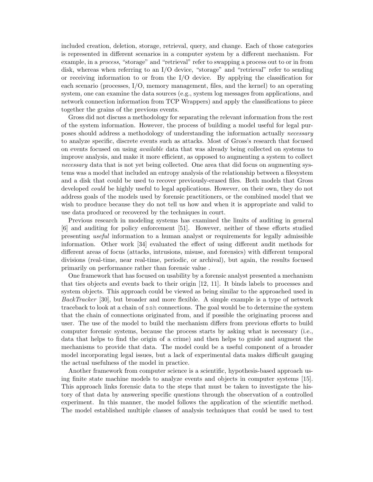included creation, deletion, storage, retrieval, query, and change. Each of those categories is represented in different scenarios in a computer system by a different mechanism. For example, in a process, "storage" and "retrieval" refer to swapping a process out to or in from disk, whereas when referring to an I/O device, "storage" and "retrieval" refer to sending or receiving information to or from the I/O device. By applying the classification for each scenario (processes, I/O, memory management, files, and the kernel) to an operating system, one can examine the data sources (e.g., system log messages from applications, and network connection information from TCP Wrappers) and apply the classifications to piece together the grains of the previous events.

Gross did not discuss a methodology for separating the relevant information from the rest of the system information. However, the process of building a model useful for legal purposes should address a methodology of understanding the information actually necessary to analyze specific, discrete events such as attacks. Most of Gross's research that focused on events focused on using available data that was already being collected on systems to improve analysis, and make it more efficient, as opposed to augmenting a system to collect necessary data that is not yet being collected. One area that did focus on augmenting systems was a model that included an entropy analysis of the relationship between a filesystem and a disk that could be used to recover previously-erased files. Both models that Gross developed *could* be highly useful to legal applications. However, on their own, they do not address goals of the models used by forensic practitioners, or the combined model that we wish to produce because they do not tell us how and when it is appropriate and valid to use data produced or recovered by the techniques in court.

Previous research in modeling systems has examined the limits of auditing in general [6] and auditing for policy enforcement [51]. However, neither of these efforts studied presenting useful information to a human analyst or requirements for legally admissible information. Other work [34] evaluated the effect of using different audit methods for different areas of focus (attacks, intrusions, misuse, and forensics) with different temporal divisions (real-time, near real-time, periodic, or archival), but again, the results focused primarily on performance rather than forensic value .

One framework that has focused on usability by a forensic analyst presented a mechanism that ties objects and events back to their origin [12, 11]. It binds labels to processes and system objects. This approach could be viewed as being similar to the approached used in BackTracker [30], but broader and more flexible. A simple example is a type of network traceback to look at a chain of ssh connections. The goal would be to determine the system that the chain of connections originated from, and if possible the originating process and user. The use of the model to build the mechanism differs from previous efforts to build computer forensic systems, because the process starts by asking what is necessary (i.e., data that helps to find the origin of a crime) and then helps to guide and augment the mechanisms to provide that data. The model could be a useful component of a broader model incorporating legal issues, but a lack of experimental data makes difficult gauging the actual usefulness of the model in practice.

Another framework from computer science is a scientific, hypothesis-based approach using finite state machine models to analyze events and objects in computer systems [15]. This approach links forensic data to the steps that must be taken to investigate the history of that data by answering specific questions through the observation of a controlled experiment. In this manner, the model follows the application of the scientific method. The model established multiple classes of analysis techniques that could be used to test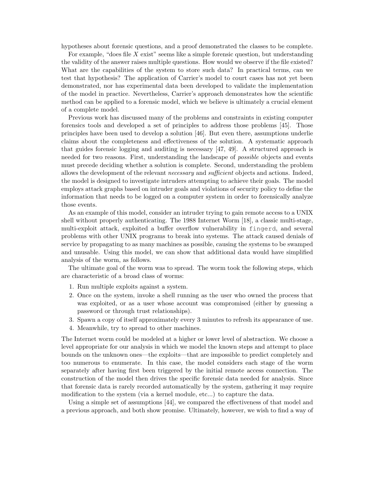hypotheses about forensic questions, and a proof demonstrated the classes to be complete.

For example, "does file  $X$  exist" seems like a simple forensic question, but understanding the validity of the answer raises multiple questions. How would we observe if the file existed? What are the capabilities of the system to store such data? In practical terms, can we test that hypothesis? The application of Carrier's model to court cases has not yet been demonstrated, nor has experimental data been developed to validate the implementation of the model in practice. Nevertheless, Carrier's approach demonstrates how the scientific method can be applied to a forensic model, which we believe is ultimately a crucial element of a complete model.

Previous work has discussed many of the problems and constraints in existing computer forensics tools and developed a set of principles to address those problems [45]. Those principles have been used to develop a solution [46]. But even there, assumptions underlie claims about the completeness and effectiveness of the solution. A systematic approach that guides forensic logging and auditing is necessary [47, 49]. A structured approach is needed for two reasons. First, understanding the landscape of possible objects and events must precede deciding whether a solution is complete. Second, understanding the problem allows the development of the relevant necessary and sufficient objects and actions. Indeed, the model is designed to investigate intruders attempting to achieve their goals. The model employs attack graphs based on intruder goals and violations of security policy to define the information that needs to be logged on a computer system in order to forensically analyze those events.

As an example of this model, consider an intruder trying to gain remote access to a UNIX shell without properly authenticating. The 1988 Internet Worm [18], a classic multi-stage, multi-exploit attack, exploited a buffer overflow vulnerability in fingerd, and several problems with other UNIX programs to break into systems. The attack caused denials of service by propagating to as many machines as possible, causing the systems to be swamped and unusable. Using this model, we can show that additional data would have simplified analysis of the worm, as follows.

The ultimate goal of the worm was to spread. The worm took the following steps, which are characteristic of a broad class of worms:

- 1. Run multiple exploits against a system.
- 2. Once on the system, invoke a shell running as the user who owned the process that was exploited, or as a user whose account was compromised (either by guessing a password or through trust relationships).
- 3. Spawn a copy of itself approximately every 3 minutes to refresh its appearance of use.
- 4. Meanwhile, try to spread to other machines.

The Internet worm could be modeled at a higher or lower level of abstraction. We choose a level appropriate for our analysis in which we model the known steps and attempt to place bounds on the unknown ones—the exploits—that are impossible to predict completely and too numerous to enumerate. In this case, the model considers each stage of the worm separately after having first been triggered by the initial remote access connection. The construction of the model then drives the specific forensic data needed for analysis. Since that forensic data is rarely recorded automatically by the system, gathering it may require modification to the system (via a kernel module, etc...) to capture the data.

Using a simple set of assumptions [44], we compared the effectiveness of that model and a previous approach, and both show promise. Ultimately, however, we wish to find a way of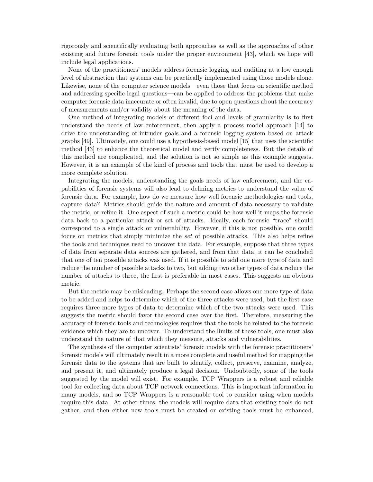rigorously and scientifically evaluating both approaches as well as the approaches of other existing and future forensic tools under the proper environment [43], which we hope will include legal applications.

None of the practitioners' models address forensic logging and auditing at a low enough level of abstraction that systems can be practically implemented using those models alone. Likewise, none of the computer science models—even those that focus on scientific method and addressing specific legal questions—can be applied to address the problems that make computer forensic data inaccurate or often invalid, due to open questions about the accuracy of measurements and/or validity about the meaning of the data.

One method of integrating models of different foci and levels of granularity is to first understand the needs of law enforcement, then apply a process model approach [14] to drive the understanding of intruder goals and a forensic logging system based on attack graphs [49]. Ultimately, one could use a hypothesis-based model [15] that uses the scientific method [43] to enhance the theoretical model and verify completeness. But the details of this method are complicated, and the solution is not so simple as this example suggests. However, it is an example of the kind of process and tools that must be used to develop a more complete solution.

Integrating the models, understanding the goals needs of law enforcement, and the capabilities of forensic systems will also lead to defining metrics to understand the value of forensic data. For example, how do we measure how well forensic methodologies and tools, capture data? Metrics should guide the nature and amount of data necessary to validate the metric, or refine it. One aspect of such a metric could be how well it maps the forensic data back to a particular attack or set of attacks. Ideally, each forensic "trace" should correspond to a single attack or vulnerability. However, if this is not possible, one could focus on metrics that simply minimize the set of possible attacks. This also helps refine the tools and techniques used to uncover the data. For example, suppose that three types of data from separate data sources are gathered, and from that data, it can be concluded that one of ten possible attacks was used. If it is possible to add one more type of data and reduce the number of possible attacks to two, but adding two other types of data reduce the number of attacks to three, the first is preferable in most cases. This suggests an obvious metric.

But the metric may be misleading. Perhaps the second case allows one more type of data to be added and helps to determine which of the three attacks were used, but the first case requires three more types of data to determine which of the two attacks were used. This suggests the metric should favor the second case over the first. Therefore, measuring the accuracy of forensic tools and technologies requires that the tools be related to the forensic evidence which they are to uncover. To understand the limits of these tools, one must also understand the nature of that which they measure, attacks and vulnerabilities.

The synthesis of the computer scientists' forensic models with the forensic practitioners' forensic models will ultimately result in a more complete and useful method for mapping the forensic data to the systems that are built to identify, collect, preserve, examine, analyze, and present it, and ultimately produce a legal decision. Undoubtedly, some of the tools suggested by the model will exist. For example, TCP Wrappers is a robust and reliable tool for collecting data about TCP network connections. This is important information in many models, and so TCP Wrappers is a reasonable tool to consider using when models require this data. At other times, the models will require data that existing tools do not gather, and then either new tools must be created or existing tools must be enhanced,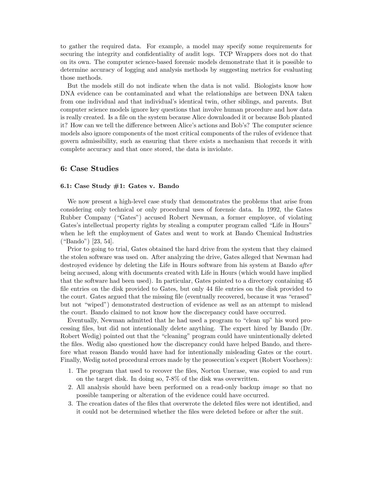to gather the required data. For example, a model may specify some requirements for securing the integrity and confidentiality of audit logs. TCP Wrappers does not do that on its own. The computer science-based forensic models demonstrate that it is possible to determine accuracy of logging and analysis methods by suggesting metrics for evaluating those methods.

But the models still do not indicate when the data is not valid. Biologists know how DNA evidence can be contaminated and what the relationships are between DNA taken from one individual and that individual's identical twin, other siblings, and parents. But computer science models ignore key questions that involve human procedure and how data is really created. Is a file on the system because Alice downloaded it or because Bob planted it? How can we tell the difference between Alice's actions and Bob's? The computer science models also ignore components of the most critical components of the rules of evidence that govern admissibility, such as ensuring that there exists a mechanism that records it with complete accuracy and that once stored, the data is inviolate.

#### 6: Case Studies

#### 6.1: Case Study #1: Gates v. Bando

We now present a high-level case study that demonstrates the problems that arise from considering only technical or only procedural uses of forensic data. In 1992, the Gates Rubber Company ("Gates") accused Robert Newman, a former employee, of violating Gates's intellectual property rights by stealing a computer program called "Life in Hours" when he left the employment of Gates and went to work at Bando Chemical Industries ("Bando") [23, 54].

Prior to going to trial, Gates obtained the hard drive from the system that they claimed the stolen software was used on. After analyzing the drive, Gates alleged that Newman had destroyed evidence by deleting the Life in Hours software from his system at Bando after being accused, along with documents created with Life in Hours (which would have implied that the software had been used). In particular, Gates pointed to a directory containing 45 file entries on the disk provided to Gates, but only 44 file entries on the disk provided to the court. Gates argued that the missing file (eventually recovered, because it was "erased" but not "wiped") demonstrated destruction of evidence as well as an attempt to mislead the court. Bando claimed to not know how the discrepancy could have occurred.

Eventually, Newman admitted that he had used a program to "clean up" his word processing files, but did not intentionally delete anything. The expert hired by Bando (Dr. Robert Wedig) pointed out that the "cleaning" program could have unintentionally deleted the files. Wedig also questioned how the discrepancy could have helped Bando, and therefore what reason Bando would have had for intentionally misleading Gates or the court. Finally, Wedig noted procedural errors made by the prosecution's expert (Robert Voorhees):

- 1. The program that used to recover the files, Norton Unerase, was copied to and run on the target disk. In doing so, 7-8% of the disk was overwritten.
- 2. All analysis should have been performed on a read-only backup image so that no possible tampering or alteration of the evidence could have occurred.
- 3. The creation dates of the files that overwrote the deleted files were not identified, and it could not be determined whether the files were deleted before or after the suit.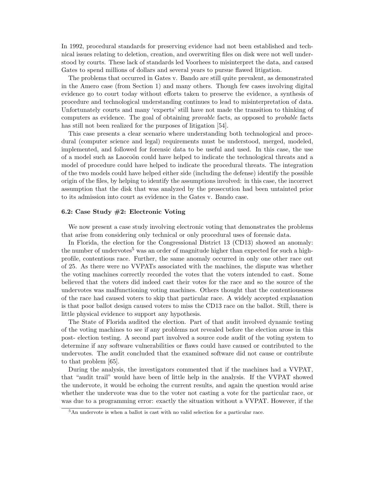In 1992, procedural standards for preserving evidence had not been established and technical issues relating to deletion, creation, and overwriting files on disk were not well understood by courts. These lack of standards led Voorhees to misinterpret the data, and caused Gates to spend millions of dollars and several years to pursue flawed litigation.

The problems that occurred in Gates v. Bando are still quite prevalent, as demonstrated in the Amero case (from Section 1) and many others. Though few cases involving digital evidence go to court today without efforts taken to preserve the evidence, a synthesis of procedure and technological understanding continues to lead to misinterpretation of data. Unfortunately courts and many 'experts' still have not made the transition to thinking of computers as evidence. The goal of obtaining provable facts, as opposed to probable facts has still not been realized for the purposes of litigation [54].

This case presents a clear scenario where understanding both technological and procedural (computer science and legal) requirements must be understood, merged, modeled, implemented, and followed for forensic data to be useful and used. In this case, the use of a model such as Laocoon could have helped to indicate the technological threats and a model of procedure could have helped to indicate the procedural threats. The integration of the two models could have helped either side (including the defense) identify the possible origin of the files, by helping to identify the assumptions involved: in this case, the incorrect assumption that the disk that was analyzed by the prosecution had been untainted prior to its admission into court as evidence in the Gates v. Bando case.

#### 6.2: Case Study #2: Electronic Voting

We now present a case study involving electronic voting that demonstrates the problems that arise from considering only technical or only procedural uses of forensic data.

In Florida, the election for the Congressional District 13 (CD13) showed an anomaly: the number of undervotes<sup>5</sup> was an order of magnitude higher than expected for such a highprofile, contentious race. Further, the same anomaly occurred in only one other race out of 25. As there were no VVPATs associated with the machines, the dispute was whether the voting machines correctly recorded the votes that the voters intended to cast. Some believed that the voters did indeed cast their votes for the race and so the source of the undervotes was malfunctioning voting machines. Others thought that the contentiousness of the race had caused voters to skip that particular race. A widely accepted explanation is that poor ballot design caused voters to miss the CD13 race on the ballot. Still, there is little physical evidence to support any hypothesis.

The State of Florida audited the election. Part of that audit involved dynamic testing of the voting machines to see if any problems not revealed before the election arose in this post- election testing. A second part involved a source code audit of the voting system to determine if any software vulnerabilities or flaws could have caused or contributed to the undervotes. The audit concluded that the examined software did not cause or contribute to that problem [65].

During the analysis, the investigators commented that if the machines had a VVPAT, that "audit trail" would have been of little help in the analysis. If the VVPAT showed the undervote, it would be echoing the current results, and again the question would arise whether the undervote was due to the voter not casting a vote for the particular race, or was due to a programming error: exactly the situation without a VVPAT. However, if the

<sup>&</sup>lt;sup>5</sup>An undervote is when a ballot is cast with no valid selection for a particular race.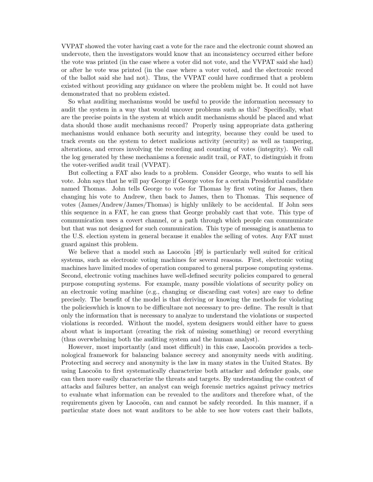VVPAT showed the voter having cast a vote for the race and the electronic count showed an undervote, then the investigators would know that an inconsistency occurred either before the vote was printed (in the case where a voter did not vote, and the VVPAT said she had) or after he vote was printed (in the case where a voter voted, and the electronic record of the ballot said she had not). Thus, the VVPAT could have confirmed that a problem existed without providing any guidance on where the problem might be. It could not have demonstrated that no problem existed.

So what auditing mechanisms would be useful to provide the information necessary to audit the system in a way that would uncover problems such as this? Specifically, what are the precise points in the system at which audit mechanisms should be placed and what data should those audit mechanisms record? Properly using appropriate data gathering mechanisms would enhance both security and integrity, because they could be used to track events on the system to detect malicious activity (security) as well as tampering, alterations, and errors involving the recording and counting of votes (integrity). We call the log generated by these mechanisms a forensic audit trail, or FAT, to distinguish it from the voter-verified audit trail (VVPAT).

But collecting a FAT also leads to a problem. Consider George, who wants to sell his vote. John says that he will pay George if George votes for a certain Presidential candidate named Thomas. John tells George to vote for Thomas by first voting for James, then changing his vote to Andrew, then back to James, then to Thomas. This sequence of votes (James/Andrew/James/Thomas) is highly unlikely to be accidental. If John sees this sequence in a FAT, he can guess that George probably cast that vote. This type of communication uses a covert channel, or a path through which people can communicate but that was not designed for such communication. This type of messaging is anathema to the U.S. election system in general because it enables the selling of votes. Any FAT must guard against this problem.

We believe that a model such as Laocoön  $[49]$  is particularly well suited for critical systems, such as electronic voting machines for several reasons. First, electronic voting machines have limited modes of operation compared to general purpose computing systems. Second, electronic voting machines have well-defined security policies compared to general purpose computing systems. For example, many possible violations of security policy on an electronic voting machine (e.g., changing or discarding cast votes) are easy to define precisely. The benefit of the model is that deriving or knowing the methods for violating the policieswhich is known to be difficultare not necessary to pre- define. The result is that only the information that is necessary to analyze to understand the violations or suspected violations is recorded. Without the model, system designers would either have to guess about what is important (creating the risk of missing something) or record everything (thus overwhelming both the auditing system and the human analyst).

However, most importantly (and most difficult) in this case, Laocoon provides a technological framework for balancing balance secrecy and anonymity needs with auditing. Protecting and secrecy and anonymity is the law in many states in the United States. By using Laocoön to first systematically characterize both attacker and defender goals, one can then more easily characterize the threats and targets. By understanding the context of attacks and failures better, an analyst can weigh forensic metrics against privacy metrics to evaluate what information can be revealed to the auditors and therefore what, of the requirements given by Laocoön, can and cannot be safely recorded. In this manner, if a particular state does not want auditors to be able to see how voters cast their ballots,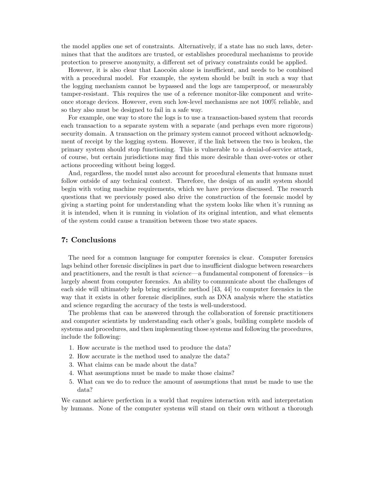the model applies one set of constraints. Alternatively, if a state has no such laws, determines that that the auditors are trusted, or establishes procedural mechanisms to provide protection to preserve anonymity, a different set of privacy constraints could be applied.

However, it is also clear that Laocoön alone is insufficient, and needs to be combined with a procedural model. For example, the system should be built in such a way that the logging mechanism cannot be bypassed and the logs are tamperproof, or measurably tamper-resistant. This requires the use of a reference monitor-like component and writeonce storage devices. However, even such low-level mechanisms are not 100% reliable, and so they also must be designed to fail in a safe way.

For example, one way to store the logs is to use a transaction-based system that records each transaction to a separate system with a separate (and perhaps even more rigorous) security domain. A transaction on the primary system cannot proceed without acknowledgment of receipt by the logging system. However, if the link between the two is broken, the primary system should stop functioning. This is vulnerable to a denial-of-service attack, of course, but certain jurisdictions may find this more desirable than over-votes or other actions proceeding without being logged.

And, regardless, the model must also account for procedural elements that humans must follow outside of any technical context. Therefore, the design of an audit system should begin with voting machine requirements, which we have previous discussed. The research questions that we previously posed also drive the construction of the forensic model by giving a starting point for understanding what the system looks like when it's running as it is intended, when it is running in violation of its original intention, and what elements of the system could cause a transition between those two state spaces.

## 7: Conclusions

The need for a common language for computer forensics is clear. Computer forensics lags behind other forensic disciplines in part due to insufficient dialogue between researchers and practitioners, and the result is that science—a fundamental component of forensics—is largely absent from computer forensics. An ability to communicate about the challenges of each side will ultimately help bring scientific method [43, 44] to computer forensics in the way that it exists in other forensic disciplines, such as DNA analysis where the statistics and science regarding the accuracy of the tests is well-understood.

The problems that can be answered through the collaboration of forensic practitioners and computer scientists by understanding each other's goals, building complete models of systems and procedures, and then implementing those systems and following the procedures, include the following:

- 1. How accurate is the method used to produce the data?
- 2. How accurate is the method used to analyze the data?
- 3. What claims can be made about the data?
- 4. What assumptions must be made to make those claims?
- 5. What can we do to reduce the amount of assumptions that must be made to use the data?

We cannot achieve perfection in a world that requires interaction with and interpretation by humans. None of the computer systems will stand on their own without a thorough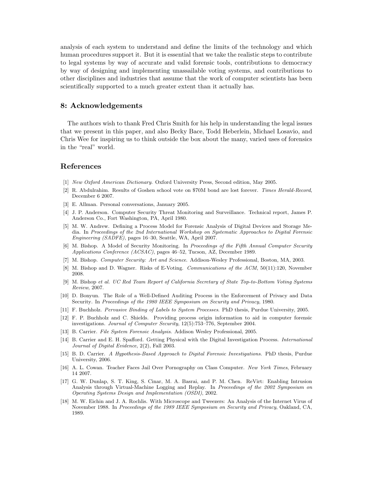analysis of each system to understand and define the limits of the technology and which human procedures support it. But it is essential that we take the realistic steps to contribute to legal systems by way of accurate and valid forensic tools, contributions to democracy by way of designing and implementing unassailable voting systems, and contributions to other disciplines and industries that assume that the work of computer scientists has been scientifically supported to a much greater extent than it actually has.

#### 8: Acknowledgements

The authors wish to thank Fred Chris Smith for his help in understanding the legal issues that we present in this paper, and also Becky Bace, Todd Heberlein, Michael Losavio, and Chris Wee for inspiring us to think outside the box about the many, varied uses of forensics in the "real" world.

### References

- [1] New Oxford American Dictionary. Oxford University Press, Second edition, May 2005.
- [2] R. Abdulrahim. Results of Goshen school vote on \$70M bond are lost forever. Times Herald-Record, December 6 2007.
- [3] E. Allman. Personal conversations, January 2005.
- [4] J. P. Anderson. Computer Security Threat Monitoring and Surveillance. Technical report, James P. Anderson Co., Fort Washington, PA, April 1980.
- [5] M. W. Andrew. Defining a Process Model for Forensic Analysis of Digital Devices and Storage Media. In Proceedings of the 2nd International Workshop on Systematic Approaches to Digital Forensic Engineering (SADFE), pages 16–30, Seattle, WA, April 2007.
- [6] M. Bishop. A Model of Security Monitoring. In Proceedings of the Fifth Annual Computer Security Applications Conference (ACSAC), pages 46–52, Tucson, AZ, December 1989.
- [7] M. Bishop. Computer Security: Art and Science. Addison-Wesley Professional, Boston, MA, 2003.
- [8] M. Bishop and D. Wagner. Risks of E-Voting. Communications of the ACM, 50(11):120, November 2008.
- [9] M. Bishop et al. UC Red Team Report of California Secretary of State Top-to-Bottom Voting Systems Review, 2007.
- [10] D. Bonyun. The Role of a Well-Defined Auditing Process in the Enforcement of Privacy and Data Security. In Proceedings of the 1980 IEEE Symposium on Security and Privacy, 1980.
- [11] F. Buchholz. Pervasive Binding of Labels to System Processes. PhD thesis, Purdue University, 2005.
- [12] F. P. Buchholz and C. Shields. Providing process origin information to aid in computer forensic investigations. Journal of Computer Security, 12(5):753–776, September 2004.
- [13] B. Carrier. File System Forensic Analysis. Addison Wesley Professional, 2005.
- [14] B. Carrier and E. H. Spafford. Getting Physical with the Digital Investigation Process. International Journal of Digital Evidence, 2(2), Fall 2003.
- [15] B. D. Carrier. A Hypothesis-Based Approach to Digital Forensic Investigations. PhD thesis, Purdue University, 2006.
- [16] A. L. Cowan. Teacher Faces Jail Over Pornography on Class Computer. New York Times, February 14 2007.
- [17] G. W. Dunlap, S. T. King, S. Cinar, M. A. Basrai, and P. M. Chen. ReVirt: Enabling Intrusion Analysis through Virtual-Machine Logging and Replay. In *Proceedings of the 2002 Symposium on* Operating Systems Design and Implementation (OSDI), 2002.
- [18] M. W. Eichin and J. A. Rochlis. With Microscope and Tweezers: An Analysis of the Internet Virus of November 1988. In Proceedings of the 1989 IEEE Symposium on Security and Privacy, Oakland, CA, 1989.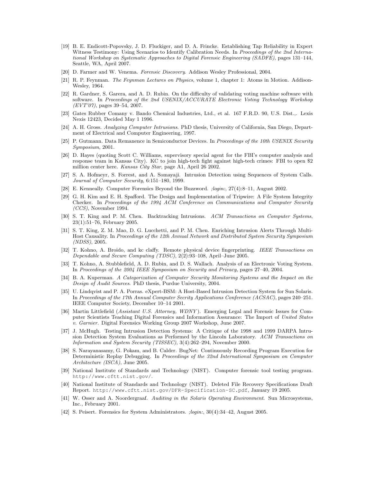- [19] B. E. Endicott-Popovsky, J. D. Fluckiger, and D. A. Frincke. Establishing Tap Reliability in Expert Witness Testimony: Using Scenarios to Identify Calibration Needs. In Proceedings of the 2nd International Workshop on Systematic Approaches to Digital Forensic Engineering (SADFE), pages 131–144, Seattle, WA, April 2007.
- [20] D. Farmer and W. Venema. Forensic Discovery. Addison Wesley Professional, 2004.
- [21] R. P. Feynman. The Feynman Lectures on Physics, volume 1, chapter 1: Atoms in Motion. Addison-Wesley, 1964.
- [22] R. Gardner, S. Garera, and A. D. Rubin. On the difficulty of validating voting machine software with software. In Proceedings of the 2nd USENIX/ACCURATE Electronic Voting Technology Workshop (EVT'07), pages 39–54, 2007.
- [23] Gates Rubber Comany v. Bando Chemical Industries, Ltd., et al. 167 F.R.D. 90, U.S. Dist.,. Lexis Nexis 12423, Decided May 1 1996.
- [24] A. H. Gross. Analyzing Computer Intrusions. PhD thesis, University of California, San Diego, Department of Electrical and Computer Engineering, 1997.
- [25] P. Gutmann. Data Remanence in Semiconductor Devices. In Proceedings of the 10th USENIX Security Symposium, 2001.
- [26] D. Hayes (quoting Scott C. Williams, supervisory special agent for the FBI's computer analysis and response team in Kansas City). KC to join high-tech fight against high-tech crimes: FBI to open \$2 million center here. Kansas City Star, page A1, April 26 2002.
- [27] S. A. Hofmeyr, S. Forrest, and A. Somayaji. Intrusion Detection using Sequences of System Calls. Journal of Computer Security, 6:151–180, 1999.
- [28] E. Kenneally. Computer Forensics Beyond the Buzzword. ; login:, 27(4):8-11, August 2002.
- [29] G. H. Kim and E. H. Spafford. The Design and Implementation of Tripwire: A File System Integrity Checker. In Proceedings of the 1994 ACM Conference on Communications and Computer Security (CCS), November 1994.
- [30] S. T. King and P. M. Chen. Backtracking Intrusions. ACM Transactions on Computer Systems, 23(1):51–76, February 2005.
- [31] S. T. King, Z. M. Mao, D. G. Lucchetti, and P. M. Chen. Enriching Intrusion Alerts Through Multi-Host Causality. In Proceedings of the 12th Annual Network and Distributed System Security Symposium (NDSS), 2005.
- [32] T. Kohno, A. Broido, and kc claffy. Remote physical device fingerprinting. IEEE Transactions on Dependable and Secure Computing (TDSC), 2(2):93–108, April–June 2005.
- [33] T. Kohno, A. Stubblefield, A. D. Rubin, and D. S. Wallach. Analysis of an Electronic Voting System. In Proceedings of the 2004 IEEE Symposium on Security and Privacy, pages 27–40, 2004.
- [34] B. A. Kuperman. A Categorization of Computer Security Monitoring Systems and the Impact on the Design of Audit Sources. PhD thesis, Purdue University, 2004.
- [35] U. Lindqvist and P. A. Porras. eXpert-BSM: A Host-Based Intrusion Detection System for Sun Solaris. In Proceedings of the 17th Annual Computer Secrity Applications Conference (ACSAC), pages 240–251. IEEE Computer Society, December 10–14 2001.
- [36] Martin Littlefield (Assistant U.S. Attorney, WDNY). Emerging Legal and Forensic Issues for Computer Scientists Teaching Digital Forensics and Information Assurance: The Import of United States v. Garnier. Digital Forensics Working Group 2007 Workshop, June 2007.
- [37] J. McHugh. Testing Intrusion Detection Systems: A Critique of the 1998 and 1999 DARPA Intrusion Detection System Evaluations as Performed by the Lincoln Laboratory. ACM Transactions on Information and System Security (TISSEC), 3(4):262–294, November 2000.
- [38] S. Narayanasamy, G. Pokam, and B. Calder. BugNet: Continuously Recording Program Execution for Deterministic Replay Debugging. In Proceedings of the 32nd International Symposium on Computer Architecture (ISCA), June 2005.
- [39] National Institute of Standards and Technology (NIST). Computer forensic tool testing program. http://www.cftt.nist.gov/.
- [40] National Institute of Standards and Technology (NIST). Deleted File Recovery Specifications Draft Report. http://www.cftt.nist.gov/DFR-Specification-SC.pdf, January 19 2005.
- [41] W. Osser and A. Noordergraaf. Auditing in the Solaris Operating Environment. Sun Microsystems, Inc., February 2001.
- [42] S. Peisert. Forensics for System Administrators. ;login:, 30(4):34–42, August 2005.